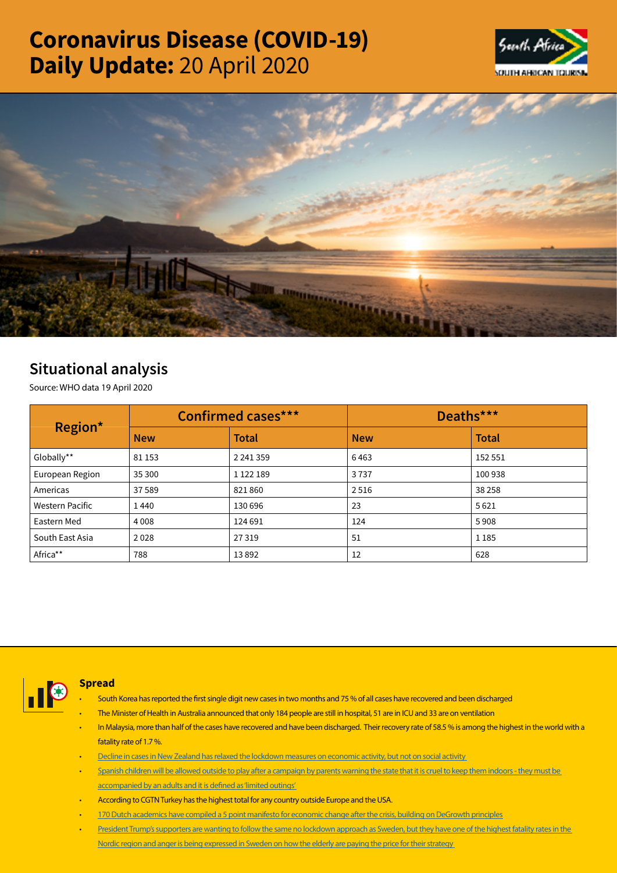# Coronavirus Disease (COVID-19) Daily Update: 20 April 2020





## Situational analysis

Source: WHO data 19 April 2020

| Region*         | <b>Confirmed cases***</b> |               | Deaths***  |              |
|-----------------|---------------------------|---------------|------------|--------------|
|                 | <b>New</b>                | <b>Total</b>  | <b>New</b> | <b>Total</b> |
| Globally**      | 81 153                    | 2 2 4 1 3 5 9 | 6463       | 152 551      |
| European Region | 35 300                    | 1 1 2 1 1 8 9 | 3737       | 100 938      |
| Americas        | 37 589                    | 821860        | 2516       | 38 258       |
| Western Pacific | 1440                      | 130 696       | 23         | 5621         |
| Eastern Med     | 4 0 0 8                   | 124 691       | 124        | 5908         |
| South East Asia | 2028                      | 27319         | 51         | 1 1 8 5      |
| Africa**        | 788                       | 13892         | 12         | 628          |



## Spread

- South Korea has reported the first single digit new cases in two months and 75 % of all cases have recovered and been discharged
- The Minister of Health in Australia announced that only 184 people are still in hospital, 51 are in ICU and 33 are on ventilation
- In Malaysia, more than half of the cases have recovered and have been discharged. Their recovery rate of 58.5 % is among the highest in the world with a fatality rate of 1.7 %.
- [Decline in cases in New Zealand has relaxed the lockdown measures on economic activity, but not on social activity](https://t.co/Kna7ncfljq?amp=1)
- Spanish children will be allowed outside to play after a campaign by parents warning the state that it is cruel to keep them indoors they must be [accompanied by an adults and it is defined as 'limited outings'](https://t.co/ZqlxB7CM22?amp=1)
- According to CGTN Turkey has the highest total for any country outside Europe and the USA.
- [170 Dutch academics have compiled a 5 point manifesto for economic change after the crisis, building on DeGrowth principles](https://t.co/jjiJ2nVRW5?amp=1)
- President Trump's supporters are wanting to follow the same no lockdown approach as Sweden, but they have one of the highest fatality rates in the [Nordic region and anger is being expressed in Sweden on how the elderly are paying the price for their strategy](https://t.co/I5MCNIDBrs?amp=1)